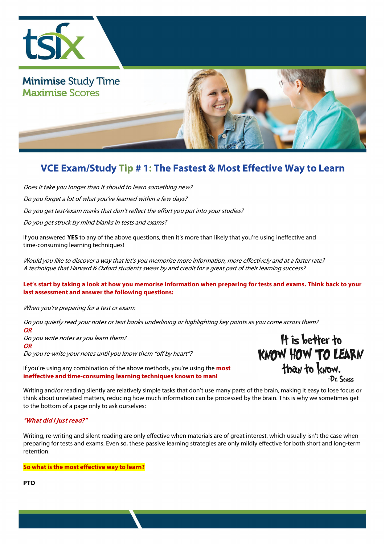

## **VCE Exam/Study Tip # 1: The Fastest & Most Effective Way to Learn**

Does it take you longer than it should to learn something new?

Do you forget a lot of what you've learned within a few days?

Do you get test/exam marks that don't reflect the effort you put into your studies?

Do you get struck by mind blanks in tests and exams?

If you answered **YES** to any of the above questions, then it's more than likely that you're using ineffective and time-consuming learning techniques!

Would you like to discover a way that let's you memorise more information, more effectively and at a faster rate? A technique that Harvard & Oxford students swear by and credit for a great part of their learning success?

## **Let's start by taking a look at how you memorise information when preparing for tests and exams. Think back to your last assessment and answer the following questions:**

When you're preparing for a test or exam:

Do you quietly read your notes or text books underlining or highlighting key points as you come across them?

**OR** Do you write notes as you learn them? **OR** Do you re-write your notes until you know them "off by heart"?

If you're using any combination of the above methods, you're using the **most ineffective and time-consuming learning techniques known to man!** 

It is better to **KNOW HOW TO LEARN** than to know. -Dr. Seuss

Writing and/or reading silently are relatively simple tasks that don't use many parts of the brain, making it easy to lose focus or think about unrelated matters, reducing how much information can be processed by the brain. This is why we sometimes get to the bottom of a page only to ask ourselves:

## "What did I just read?"

Writing, re-writing and silent reading are only effective when materials are of great interest, which usually isn't the case when preparing for tests and exams. Even so, these passive learning strategies are only mildly effective for both short and long-term retention.

**So what is the most effective way to learn?**